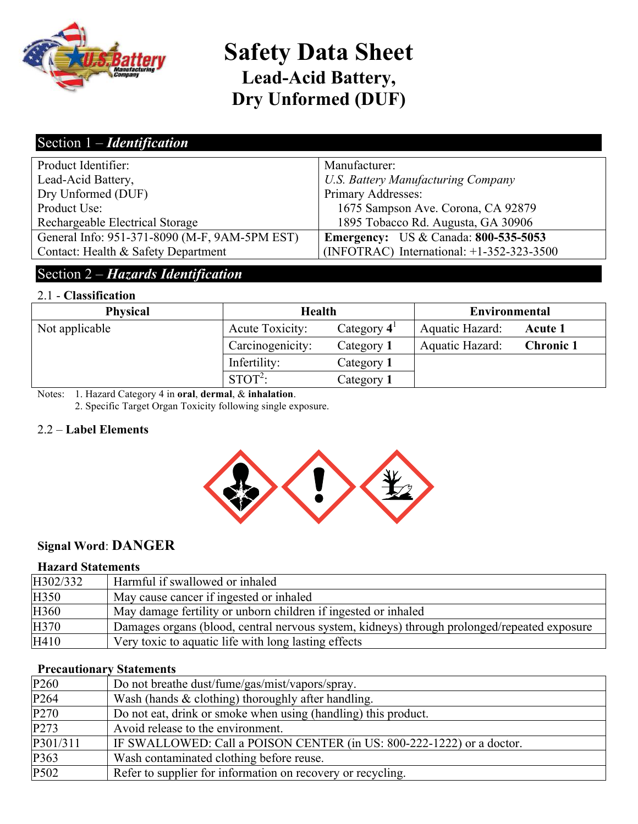

# **Safety Data Sheet Lead-Acid Battery, Dry Unformed (DUF)**

### Section 1 – *Identification*

| Product Identifier:                           | Manufacturer:                               |
|-----------------------------------------------|---------------------------------------------|
| Lead-Acid Battery,                            | <b>U.S. Battery Manufacturing Company</b>   |
| Dry Unformed (DUF)                            | Primary Addresses:                          |
| Product Use:                                  | 1675 Sampson Ave. Corona, CA 92879          |
| Rechargeable Electrical Storage               | 1895 Tobacco Rd. Augusta, GA 30906          |
| General Info: 951-371-8090 (M-F, 9AM-5PM EST) | <b>Emergency:</b> US & Canada: 800-535-5053 |
| Contact: Health & Safety Department           | (INFOTRAC) International: $+1-352-323-3500$ |
|                                               |                                             |

### Section 2 – *Hazards Identification*

#### 2.1 - **Classification**

| <b>Physical</b> | <b>Health</b>          |                      | <b>Environmental</b> |                  |
|-----------------|------------------------|----------------------|----------------------|------------------|
| Not applicable  | <b>Acute Toxicity:</b> | Category $4^{\circ}$ | Aquatic Hazard:      | Acute 1          |
|                 | Carcinogenicity:       | Category 1           | Aquatic Hazard:      | <b>Chronic 1</b> |
|                 | Infertility:           | Category 1           |                      |                  |
|                 | $STOT2$ :              | Category 1           |                      |                  |

Notes: 1. Hazard Category 4 in **oral**, **dermal**, & **inhalation**.

2. Specific Target Organ Toxicity following single exposure.

#### 2.2 – **Label Elements**



### **Signal Word**: **DANGER**

#### **Hazard Statements**

| H302/332 | Harmful if swallowed or inhaled                                                             |
|----------|---------------------------------------------------------------------------------------------|
| H350     | May cause cancer if ingested or inhaled                                                     |
| H360     | May damage fertility or unborn children if ingested or inhaled                              |
| H370     | Damages organs (blood, central nervous system, kidneys) through prolonged/repeated exposure |
| H410     | Very toxic to aquatic life with long lasting effects                                        |

#### **Precautionary Statements**

| P <sub>260</sub> | Do not breathe dust/fume/gas/mist/vapors/spray.                       |
|------------------|-----------------------------------------------------------------------|
| P <sub>264</sub> | Wash (hands $&$ clothing) thoroughly after handling.                  |
| P <sub>270</sub> | Do not eat, drink or smoke when using (handling) this product.        |
| P <sub>273</sub> | Avoid release to the environment.                                     |
| P301/311         | IF SWALLOWED: Call a POISON CENTER (in US: 800-222-1222) or a doctor. |
| P363             | Wash contaminated clothing before reuse.                              |
| P502             | Refer to supplier for information on recovery or recycling.           |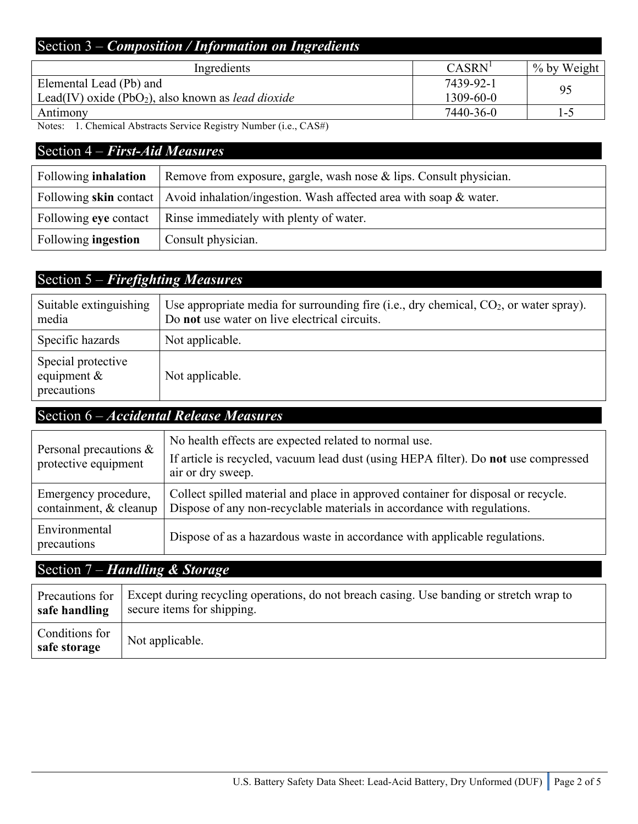### Section 3 – *Composition / Information on Ingredients*

| Ingredients                                                           | CASRN'          | % by Weight |
|-----------------------------------------------------------------------|-----------------|-------------|
| Elemental Lead (Pb) and                                               | 7439-92-1       | 95          |
| Lead(IV) oxide (PbO <sub>2</sub> ), also known as <i>lead dioxide</i> | $1309 - 60 - 0$ |             |
| Antimony                                                              | 7440-36-0       | l – 5       |

Notes: 1. Chemical Abstracts Service Registry Number (i.e., CAS#)

### Section 4 – *First-Aid Measures*

| Following <b>inhalation</b> | Remove from exposure, gargle, wash nose & lips. Consult physician.                         |
|-----------------------------|--------------------------------------------------------------------------------------------|
|                             | Following skin contact   Avoid inhalation/ingestion. Wash affected area with soap & water. |
|                             | Following eye contact   Rinse immediately with plenty of water.                            |
| Following <b>ingestion</b>  | Consult physician.                                                                         |

## Section 5 – *Firefighting Measures*

| Suitable extinguishing<br>media                     | Use appropriate media for surrounding fire (i.e., dry chemical, $CO_2$ , or water spray).<br>Do not use water on live electrical circuits. |
|-----------------------------------------------------|--------------------------------------------------------------------------------------------------------------------------------------------|
| Specific hazards                                    | Not applicable.                                                                                                                            |
| Special protective<br>equipment $\&$<br>precautions | Not applicable.                                                                                                                            |

## Section 6 – *Accidental Release Measures*

| Personal precautions $\&$<br>protective equipment | No health effects are expected related to normal use.<br>If article is recycled, vacuum lead dust (using HEPA filter). Do not use compressed<br>air or dry sweep. |
|---------------------------------------------------|-------------------------------------------------------------------------------------------------------------------------------------------------------------------|
| Emergency procedure,<br>containment, & cleanup    | Collect spilled material and place in approved container for disposal or recycle.<br>Dispose of any non-recyclable materials in accordance with regulations.      |
| Environmental<br>precautions                      | Dispose of as a hazardous waste in accordance with applicable regulations.                                                                                        |

## Section 7 – *Handling & Storage*

| Precautions for                | Except during recycling operations, do not breach casing. Use banding or stretch wrap to |
|--------------------------------|------------------------------------------------------------------------------------------|
| safe handling                  | secure items for shipping.                                                               |
| Conditions for<br>safe storage | Not applicable.                                                                          |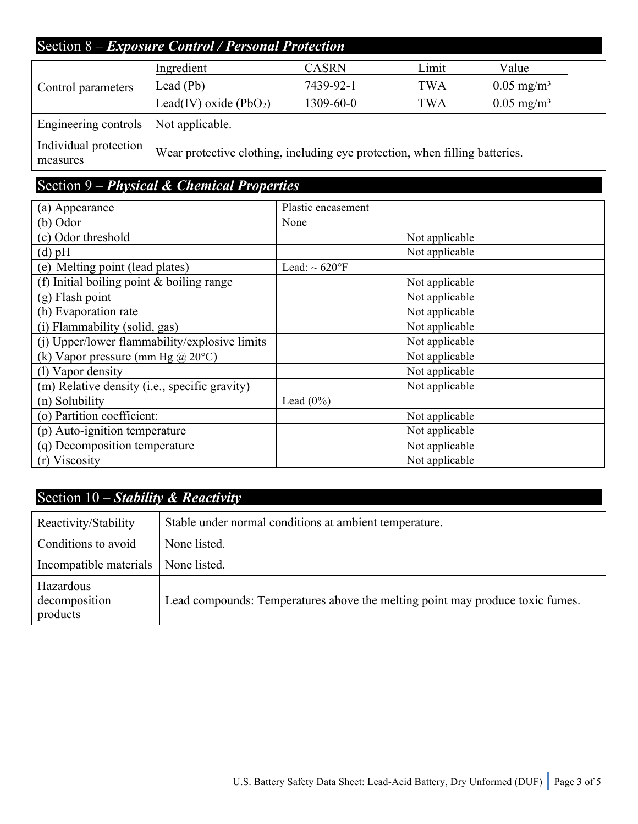## Section 8 – *Exposure Control / Personal Protection*

| Control parameters                | Ingredient                                                                  | <b>CASRN</b> | Limit | Value                 |
|-----------------------------------|-----------------------------------------------------------------------------|--------------|-------|-----------------------|
|                                   | Lead $(Pb)$                                                                 | 7439-92-1    | TWA   | $0.05 \text{ mg/m}^3$ |
|                                   | Lead(IV) oxide $(PbO2)$                                                     | 1309-60-0    | TWA   | $0.05 \text{ mg/m}^3$ |
| Engineering controls              | Not applicable.                                                             |              |       |                       |
| Individual protection<br>measures | Wear protective clothing, including eye protection, when filling batteries. |              |       |                       |

## Section 9 – *Physical & Chemical Properties*

| (a) Appearance                                | Plastic encasement  |
|-----------------------------------------------|---------------------|
| $(b)$ Odor                                    | None                |
| (c) Odor threshold                            | Not applicable      |
| $(d)$ pH                                      | Not applicable      |
| (e) Melting point (lead plates)               | Lead: $\sim 620$ °F |
| (f) Initial boiling point $&$ boiling range   | Not applicable      |
| $(g)$ Flash point                             | Not applicable      |
| (h) Evaporation rate                          | Not applicable      |
| (i) Flammability (solid, gas)                 | Not applicable      |
| (i) Upper/lower flammability/explosive limits | Not applicable      |
| (k) Vapor pressure (mm Hg $@20°C$ )           | Not applicable      |
| (1) Vapor density                             | Not applicable      |
| (m) Relative density (i.e., specific gravity) | Not applicable      |
| (n) Solubility                                | Lead $(0\%)$        |
| (o) Partition coefficient:                    | Not applicable      |
| (p) Auto-ignition temperature                 | Not applicable      |
| (q) Decomposition temperature                 | Not applicable      |
| Viscosity<br>(r)                              | Not applicable      |

## Section 10 – *Stability & Reactivity*

| Reactivity/Stability                   | Stable under normal conditions at ambient temperature.                        |
|----------------------------------------|-------------------------------------------------------------------------------|
| Conditions to avoid                    | None listed.                                                                  |
| Incompatible materials                 | None listed.                                                                  |
| Hazardous<br>decomposition<br>products | Lead compounds: Temperatures above the melting point may produce toxic fumes. |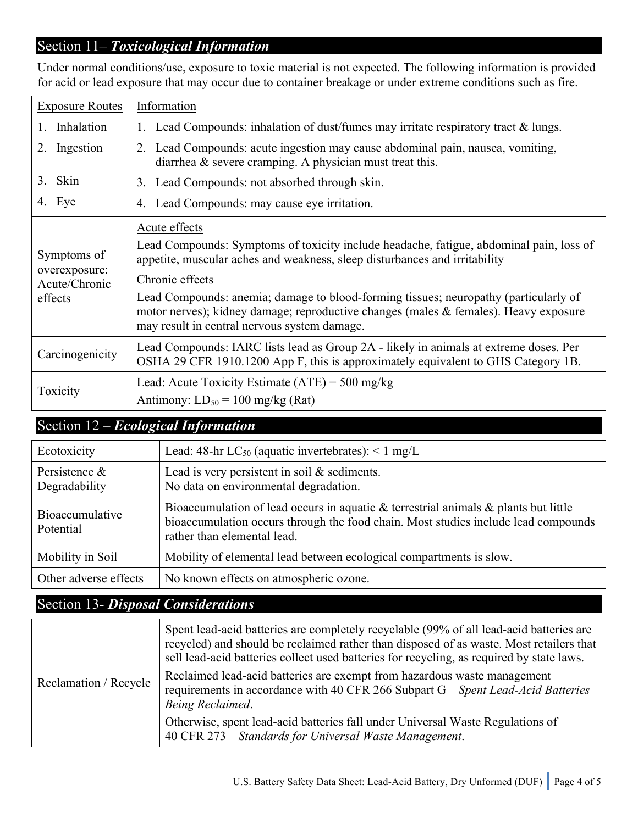### Section 11– *Toxicological Information*

| <b>Exposure Routes</b>                                   | Information                                                                                                                                                                                                                                                                                                                                                                                                                               |
|----------------------------------------------------------|-------------------------------------------------------------------------------------------------------------------------------------------------------------------------------------------------------------------------------------------------------------------------------------------------------------------------------------------------------------------------------------------------------------------------------------------|
| Inhalation                                               | Lead Compounds: inhalation of dust/fumes may irritate respiratory tract & lungs.                                                                                                                                                                                                                                                                                                                                                          |
| Ingestion<br>2.                                          | Lead Compounds: acute ingestion may cause abdominal pain, nausea, vomiting,<br>2.<br>diarrhea $\&$ severe cramping. A physician must treat this.                                                                                                                                                                                                                                                                                          |
| Skin<br>3.                                               | Lead Compounds: not absorbed through skin.<br>3.                                                                                                                                                                                                                                                                                                                                                                                          |
| 4. Eye                                                   | Lead Compounds: may cause eye irritation.<br>4.                                                                                                                                                                                                                                                                                                                                                                                           |
| Symptoms of<br>overexposure:<br>Acute/Chronic<br>effects | Acute effects<br>Lead Compounds: Symptoms of toxicity include headache, fatigue, abdominal pain, loss of<br>appetite, muscular aches and weakness, sleep disturbances and irritability<br>Chronic effects<br>Lead Compounds: anemia; damage to blood-forming tissues; neuropathy (particularly of<br>motor nerves); kidney damage; reproductive changes (males & females). Heavy exposure<br>may result in central nervous system damage. |
| Carcinogenicity                                          | Lead Compounds: IARC lists lead as Group 2A - likely in animals at extreme doses. Per<br>OSHA 29 CFR 1910.1200 App F, this is approximately equivalent to GHS Category 1B.                                                                                                                                                                                                                                                                |
| Toxicity                                                 | Lead: Acute Toxicity Estimate $(ATE) = 500$ mg/kg<br>Antimony: $LD_{50} = 100$ mg/kg (Rat)                                                                                                                                                                                                                                                                                                                                                |

### Under normal conditions/use, exposure to toxic material is not expected. The following information is provided for acid or lead exposure that may occur due to container breakage or under extreme conditions such as fire.

## Section 12 – *Ecological Information*

| Ecotoxicity                         | Lead: 48-hr $LC_{50}$ (aquatic invertebrates): < 1 mg/L                                                                                                                                                        |
|-------------------------------------|----------------------------------------------------------------------------------------------------------------------------------------------------------------------------------------------------------------|
| Persistence $\&$<br>Degradability   | Lead is very persistent in soil $&$ sediments.<br>No data on environmental degradation.                                                                                                                        |
| <b>Bioaccumulative</b><br>Potential | Bioaccumulation of lead occurs in aquatic $\&$ terrestrial animals $\&$ plants but little<br>bioaccumulation occurs through the food chain. Most studies include lead compounds<br>rather than elemental lead. |
| Mobility in Soil                    | Mobility of elemental lead between ecological compartments is slow.                                                                                                                                            |
| Other adverse effects               | No known effects on atmospheric ozone.                                                                                                                                                                         |

## Section 13- *Disposal Considerations*

| Reclamation / Recycle | Spent lead-acid batteries are completely recyclable (99% of all lead-acid batteries are<br>recycled) and should be reclaimed rather than disposed of as waste. Most retailers that<br>sell lead-acid batteries collect used batteries for recycling, as required by state laws. |
|-----------------------|---------------------------------------------------------------------------------------------------------------------------------------------------------------------------------------------------------------------------------------------------------------------------------|
|                       | Reclaimed lead-acid batteries are exempt from hazardous waste management<br>requirements in accordance with 40 CFR 266 Subpart G – Spent Lead-Acid Batteries<br>Being Reclaimed.                                                                                                |
|                       | Otherwise, spent lead-acid batteries fall under Universal Waste Regulations of<br>40 CFR 273 – Standards for Universal Waste Management.                                                                                                                                        |